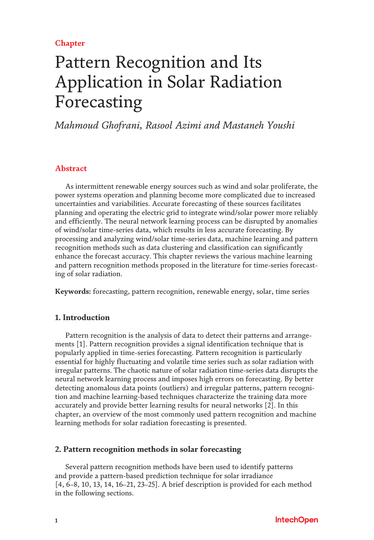## **Chapter**

# Pattern Recognition and Its Application in Solar Radiation Forecasting

Mahmoud Ghofrani, Rasool Azimi and Mastaneh Youshi

## Abstract

As intermittent renewable energy sources such as wind and solar proliferate, the power systems operation and planning become more complicated due to increased uncertainties and variabilities. Accurate forecasting of these sources facilitates planning and operating the electric grid to integrate wind/solar power more reliably and efficiently. The neural network learning process can be disrupted by anomalies of wind/solar time-series data, which results in less accurate forecasting. By processing and analyzing wind/solar time-series data, machine learning and pattern recognition methods such as data clustering and classification can significantly enhance the forecast accuracy. This chapter reviews the various machine learning and pattern recognition methods proposed in the literature for time-series forecasting of solar radiation.

Keywords: forecasting, pattern recognition, renewable energy, solar, time series

## 1. Introduction

Pattern recognition is the analysis of data to detect their patterns and arrangements [1]. Pattern recognition provides a signal identification technique that is popularly applied in time-series forecasting. Pattern recognition is particularly essential for highly fluctuating and volatile time series such as solar radiation with irregular patterns. The chaotic nature of solar radiation time-series data disrupts the neural network learning process and imposes high errors on forecasting. By better detecting anomalous data points (outliers) and irregular patterns, pattern recognition and machine learning-based techniques characterize the training data more accurately and provide better learning results for neural networks [2]. In this chapter, an overview of the most commonly used pattern recognition and machine learning methods for solar radiation forecasting is presented.

## 2. Pattern recognition methods in solar forecasting

Several pattern recognition methods have been used to identify patterns and provide a pattern-based prediction technique for solar irradiance [4, 6–8, 10, 13, 14, 16–21, 23–25]. A brief description is provided for each method in the following sections.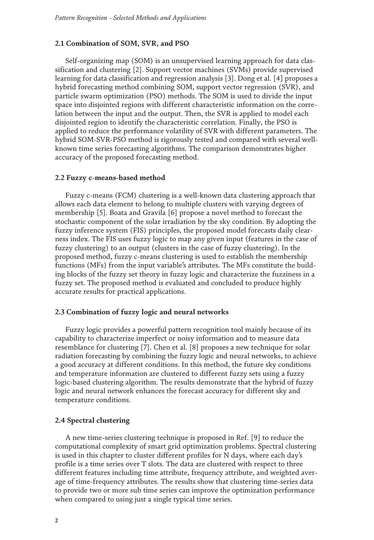## 2.1 Combination of SOM, SVR, and PSO

Self-organizing map (SOM) is an unsupervised learning approach for data classification and clustering [2]. Support vector machines (SVMs) provide supervised learning for data classification and regression analysis [3]. Dong et al. [4] proposes a hybrid forecasting method combining SOM, support vector regression (SVR), and particle swarm optimization (PSO) methods. The SOM is used to divide the input space into disjointed regions with different characteristic information on the correlation between the input and the output. Then, the SVR is applied to model each disjointed region to identify the characteristic correlation. Finally, the PSO is applied to reduce the performance volatility of SVR with different parameters. The hybrid SOM-SVR-PSO method is rigorously tested and compared with several wellknown time series forecasting algorithms. The comparison demonstrates higher accuracy of the proposed forecasting method.

#### 2.2 Fuzzy c-means-based method

Fuzzy c-means (FCM) clustering is a well-known data clustering approach that allows each data element to belong to multiple clusters with varying degrees of membership [5]. Boata and Gravila [6] propose a novel method to forecast the stochastic component of the solar irradiation by the sky condition. By adopting the fuzzy inference system (FIS) principles, the proposed model forecasts daily clearness index. The FIS uses fuzzy logic to map any given input (features in the case of fuzzy clustering) to an output (clusters in the case of fuzzy clustering). In the proposed method, fuzzy c-means clustering is used to establish the membership functions (MFs) from the input variable's attributes. The MFs constitute the building blocks of the fuzzy set theory in fuzzy logic and characterize the fuzziness in a fuzzy set. The proposed method is evaluated and concluded to produce highly accurate results for practical applications.

## 2.3 Combination of fuzzy logic and neural networks

Fuzzy logic provides a powerful pattern recognition tool mainly because of its capability to characterize imperfect or noisy information and to measure data resemblance for clustering [7]. Chen et al. [8] proposes a new technique for solar radiation forecasting by combining the fuzzy logic and neural networks, to achieve a good accuracy at different conditions. In this method, the future sky conditions and temperature information are clustered to different fuzzy sets using a fuzzy logic-based clustering algorithm. The results demonstrate that the hybrid of fuzzy logic and neural network enhances the forecast accuracy for different sky and temperature conditions.

## 2.4 Spectral clustering

A new time-series clustering technique is proposed in Ref. [9] to reduce the computational complexity of smart grid optimization problems. Spectral clustering is used in this chapter to cluster different profiles for N days, where each day's profile is a time series over T slots. The data are clustered with respect to three different features including time attribute, frequency attribute, and weighted average of time-frequency attributes. The results show that clustering time-series data to provide two or more sub time series can improve the optimization performance when compared to using just a single typical time series.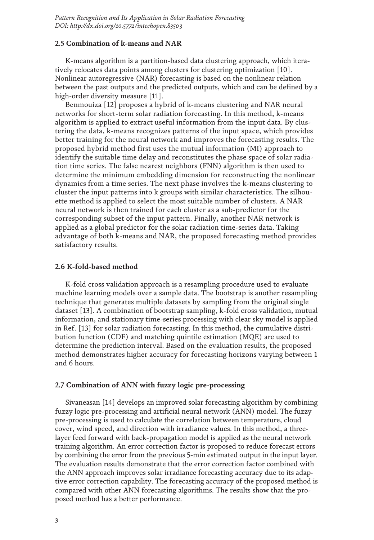## 2.5 Combination of k-means and NAR

K-means algorithm is a partition-based data clustering approach, which iteratively relocates data points among clusters for clustering optimization [10]. Nonlinear autoregressive (NAR) forecasting is based on the nonlinear relation between the past outputs and the predicted outputs, which and can be defined by a high-order diversity measure [11].

Benmouiza [12] proposes a hybrid of k-means clustering and NAR neural networks for short-term solar radiation forecasting. In this method, k-means algorithm is applied to extract useful information from the input data. By clustering the data, k-means recognizes patterns of the input space, which provides better training for the neural network and improves the forecasting results. The proposed hybrid method first uses the mutual information (MI) approach to identify the suitable time delay and reconstitutes the phase space of solar radiation time series. The false nearest neighbors (FNN) algorithm is then used to determine the minimum embedding dimension for reconstructing the nonlinear dynamics from a time series. The next phase involves the k-means clustering to cluster the input patterns into k groups with similar characteristics. The silhouette method is applied to select the most suitable number of clusters. A NAR neural network is then trained for each cluster as a sub-predictor for the corresponding subset of the input pattern. Finally, another NAR network is applied as a global predictor for the solar radiation time-series data. Taking advantage of both k-means and NAR, the proposed forecasting method provides satisfactory results.

#### 2.6 K-fold-based method

K-fold cross validation approach is a resampling procedure used to evaluate machine learning models over a sample data. The bootstrap is another resampling technique that generates multiple datasets by sampling from the original single dataset [13]. A combination of bootstrap sampling, k-fold cross validation, mutual information, and stationary time-series processing with clear sky model is applied in Ref. [13] for solar radiation forecasting. In this method, the cumulative distribution function (CDF) and matching quintile estimation (MQE) are used to determine the prediction interval. Based on the evaluation results, the proposed method demonstrates higher accuracy for forecasting horizons varying between 1 and 6 hours.

### 2.7 Combination of ANN with fuzzy logic pre-processing

Sivaneasan [14] develops an improved solar forecasting algorithm by combining fuzzy logic pre-processing and artificial neural network (ANN) model. The fuzzy pre-processing is used to calculate the correlation between temperature, cloud cover, wind speed, and direction with irradiance values. In this method, a threelayer feed forward with back-propagation model is applied as the neural network training algorithm. An error correction factor is proposed to reduce forecast errors by combining the error from the previous 5-min estimated output in the input layer. The evaluation results demonstrate that the error correction factor combined with the ANN approach improves solar irradiance forecasting accuracy due to its adaptive error correction capability. The forecasting accuracy of the proposed method is compared with other ANN forecasting algorithms. The results show that the proposed method has a better performance.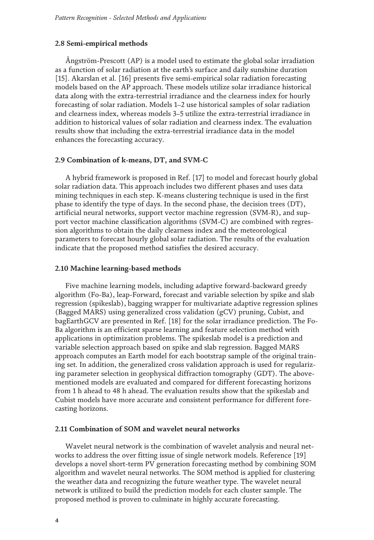## 2.8 Semi-empirical methods

Ångström-Prescott (AP) is a model used to estimate the global solar irradiation as a function of solar radiation at the earth's surface and daily sunshine duration [15]. Akarslan et al. [16] presents five semi-empirical solar radiation forecasting models based on the AP approach. These models utilize solar irradiance historical data along with the extra-terrestrial irradiance and the clearness index for hourly forecasting of solar radiation. Models 1–2 use historical samples of solar radiation and clearness index, whereas models 3–5 utilize the extra-terrestrial irradiance in addition to historical values of solar radiation and clearness index. The evaluation results show that including the extra-terrestrial irradiance data in the model enhances the forecasting accuracy.

### 2.9 Combination of k-means, DT, and SVM-C

A hybrid framework is proposed in Ref. [17] to model and forecast hourly global solar radiation data. This approach includes two different phases and uses data mining techniques in each step. K-means clustering technique is used in the first phase to identify the type of days. In the second phase, the decision trees (DT), artificial neural networks, support vector machine regression (SVM-R), and support vector machine classification algorithms (SVM-C) are combined with regression algorithms to obtain the daily clearness index and the meteorological parameters to forecast hourly global solar radiation. The results of the evaluation indicate that the proposed method satisfies the desired accuracy.

#### 2.10 Machine learning-based methods

Five machine learning models, including adaptive forward-backward greedy algorithm (Fo-Ba), leap-Forward, forecast and variable selection by spike and slab regression (spikeslab), bagging wrapper for multivariate adaptive regression splines (Bagged MARS) using generalized cross validation (gCV) pruning, Cubist, and bagEarthGCV are presented in Ref. [18] for the solar irradiance prediction. The Fo-Ba algorithm is an efficient sparse learning and feature selection method with applications in optimization problems. The spikeslab model is a prediction and variable selection approach based on spike and slab regression. Bagged MARS approach computes an Earth model for each bootstrap sample of the original training set. In addition, the generalized cross validation approach is used for regularizing parameter selection in geophysical diffraction tomography (GDT). The abovementioned models are evaluated and compared for different forecasting horizons from 1 h ahead to 48 h ahead. The evaluation results show that the spikeslab and Cubist models have more accurate and consistent performance for different forecasting horizons.

## 2.11 Combination of SOM and wavelet neural networks

Wavelet neural network is the combination of wavelet analysis and neural networks to address the over fitting issue of single network models. Reference [19] develops a novel short-term PV generation forecasting method by combining SOM algorithm and wavelet neural networks. The SOM method is applied for clustering the weather data and recognizing the future weather type. The wavelet neural network is utilized to build the prediction models for each cluster sample. The proposed method is proven to culminate in highly accurate forecasting.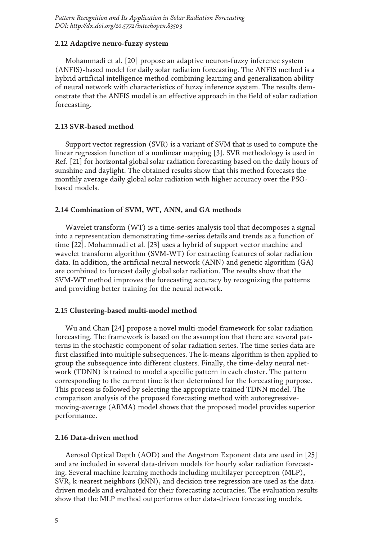## 2.12 Adaptive neuro-fuzzy system

Mohammadi et al. [20] propose an adaptive neuron-fuzzy inference system (ANFIS)-based model for daily solar radiation forecasting. The ANFIS method is a hybrid artificial intelligence method combining learning and generalization ability of neural network with characteristics of fuzzy inference system. The results demonstrate that the ANFIS model is an effective approach in the field of solar radiation forecasting.

#### 2.13 SVR-based method

Support vector regression (SVR) is a variant of SVM that is used to compute the linear regression function of a nonlinear mapping [3]. SVR methodology is used in Ref. [21] for horizontal global solar radiation forecasting based on the daily hours of sunshine and daylight. The obtained results show that this method forecasts the monthly average daily global solar radiation with higher accuracy over the PSObased models.

### 2.14 Combination of SVM, WT, ANN, and GA methods

Wavelet transform (WT) is a time-series analysis tool that decomposes a signal into a representation demonstrating time-series details and trends as a function of time [22]. Mohammadi et al. [23] uses a hybrid of support vector machine and wavelet transform algorithm (SVM-WT) for extracting features of solar radiation data. In addition, the artificial neural network (ANN) and genetic algorithm (GA) are combined to forecast daily global solar radiation. The results show that the SVM-WT method improves the forecasting accuracy by recognizing the patterns and providing better training for the neural network.

## 2.15 Clustering-based multi-model method

Wu and Chan [24] propose a novel multi-model framework for solar radiation forecasting. The framework is based on the assumption that there are several patterns in the stochastic component of solar radiation series. The time series data are first classified into multiple subsequences. The k-means algorithm is then applied to group the subsequence into different clusters. Finally, the time-delay neural network (TDNN) is trained to model a specific pattern in each cluster. The pattern corresponding to the current time is then determined for the forecasting purpose. This process is followed by selecting the appropriate trained TDNN model. The comparison analysis of the proposed forecasting method with autoregressivemoving-average (ARMA) model shows that the proposed model provides superior performance.

## 2.16 Data-driven method

Aerosol Optical Depth (AOD) and the Angstrom Exponent data are used in [25] and are included in several data-driven models for hourly solar radiation forecasting. Several machine learning methods including multilayer perceptron (MLP), SVR, k-nearest neighbors (kNN), and decision tree regression are used as the datadriven models and evaluated for their forecasting accuracies. The evaluation results show that the MLP method outperforms other data-driven forecasting models.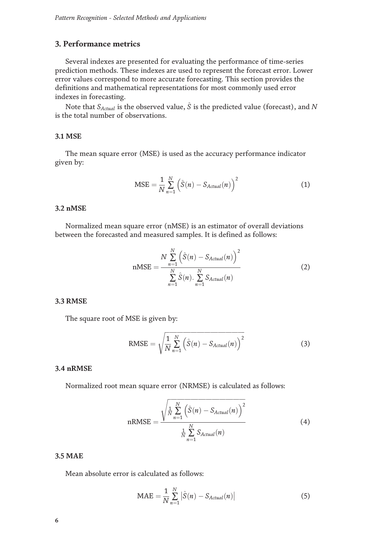## 3. Performance metrics

Several indexes are presented for evaluating the performance of time-series prediction methods. These indexes are used to represent the forecast error. Lower error values correspond to more accurate forecasting. This section provides the definitions and mathematical representations for most commonly used error indexes in forecasting.

Note that  $S_{Actual}$  is the observed value,  $\hat{S}$  is the predicted value (forecast), and N is the total number of observations.

## 3.1 MSE

The mean square error (MSE) is used as the accuracy performance indicator given by:

$$
\text{MSE} = \frac{1}{N} \sum_{n=1}^{N} \left( \hat{S}(n) - S_{Actual}(n) \right)^2 \tag{1}
$$

#### 3.2 nMSE

Normalized mean square error (nMSE) is an estimator of overall deviations between the forecasted and measured samples. It is defined as follows:

$$
nMSE = \frac{N \sum\limits_{n=1}^{N} \left(\hat{S}(n) - S_{Actual}(n)\right)^2}{\sum\limits_{n=1}^{N} \hat{S}(n) \cdot \sum\limits_{n=1}^{N} S_{Actual}(n)}
$$
(2)

#### 3.3 RMSE

The square root of MSE is given by:

RMSE = 
$$
\sqrt{\frac{1}{N} \sum_{n=1}^{N} (\hat{S}(n) - S_{Actual}(n))^{2}}
$$
 (3)

#### 3.4 nRMSE

Normalized root mean square error (NRMSE) is calculated as follows:

$$
nRMSE = \frac{\sqrt{\frac{1}{N} \sum_{n=1}^{N} (\hat{S}(n) - S_{Actual}(n))^{2}}}{\frac{1}{N} \sum_{n=1}^{N} S_{Actual}(n)}
$$
(4)

## 3.5 MAE

Mean absolute error is calculated as follows:

$$
\text{MAE} = \frac{1}{N} \sum_{n=1}^{N} \left| \hat{S}(n) - S_{Actual}(n) \right| \tag{5}
$$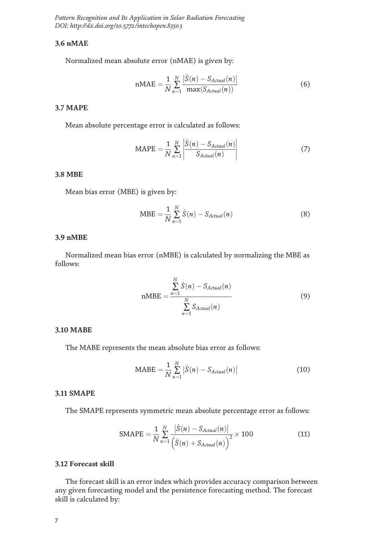## 3.6 nMAE

Normalized mean absolute error (nMAE) is given by:

$$
nMAE = \frac{1}{N} \sum_{n=1}^{N} \frac{\left| \hat{S}(n) - S_{Actual}(n) \right|}{\max(S_{Actual}(n))}
$$
(6)

## 3.7 MAPE

Mean absolute percentage error is calculated as follows:

$$
MAPE = \frac{1}{N} \sum_{n=1}^{N} \left| \frac{\hat{S}(n) - S_{Actual}(n)}{S_{Actual}(n)} \right|
$$
 (7)

#### 3.8 MBE

Mean bias error (MBE) is given by:

$$
\text{MBE} = \frac{1}{N} \sum_{n=1}^{N} \hat{S}(n) - S_{Actual}(n) \tag{8}
$$

## 3.9 nMBE

Normalized mean bias error (nMBE) is calculated by normalizing the MBE as follows:

$$
nMBE = \frac{\sum_{n=1}^{N} \hat{S}(n) - S_{Actual}(n)}{\sum_{n=1}^{N} S_{Actual}(n)}
$$
(9)

## 3.10 MABE

The MABE represents the mean absolute bias error as follows:

$$
\text{MABE} = \frac{1}{N} \sum_{n=1}^{N} \left| \hat{S}(n) - S_{Actual}(n) \right| \tag{10}
$$

## 3.11 SMAPE

The SMAPE represents symmetric mean absolute percentage error as follows:

$$
SMAPE = \frac{1}{N} \sum_{n=1}^{N} \frac{|\hat{S}(n) - S_{Actual}(n)|}{(\hat{S}(n) + S_{Actual}(n))^{2}} \times 100
$$
 (11)

## 3.12 Forecast skill

The forecast skill is an error index which provides accuracy comparison between any given forecasting model and the persistence forecasting method. The forecast skill is calculated by: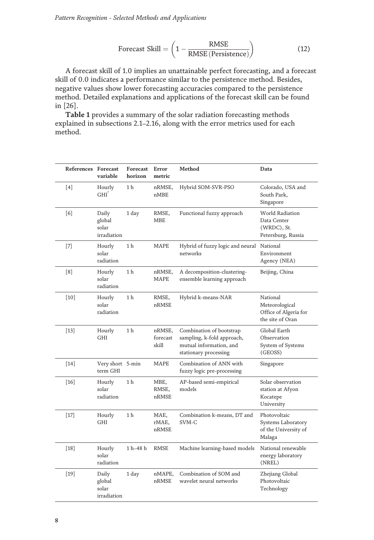Pattern Recognition - Selected Methods and Applications

$$
Forecast Skill = \left(1 - \frac{RMSE}{RMSE(Persistentence)}\right)
$$
 (12)

A forecast skill of 1.0 implies an unattainable perfect forecasting, and a forecast skill of 0.0 indicates a performance similar to the persistence method. Besides, negative values show lower forecasting accuracies compared to the persistence method. Detailed explanations and applications of the forecast skill can be found in [26].

Table 1 provides a summary of the solar radiation forecasting methods explained in subsections 2.1–2.16, along with the error metrics used for each method.

| References Forecast | variable                                | Forecast<br>horizon | Error<br>metric             | Method                                                                                                     | Data                                                                    |
|---------------------|-----------------------------------------|---------------------|-----------------------------|------------------------------------------------------------------------------------------------------------|-------------------------------------------------------------------------|
| [4]                 | Hourly<br><b>GHI</b>                    | 1 h                 | nRMSE,<br>nMBE              | Hybrid SOM-SVR-PSO                                                                                         | Colorado, USA and<br>South Park,<br>Singapore                           |
| [6]                 | Daily<br>global<br>solar<br>irradiation | 1 day               | RMSE,<br><b>MBE</b>         | Functional fuzzy approach                                                                                  | World Radiation<br>Data Center<br>(WRDC), St.<br>Petersburg, Russia     |
| $[7]$               | Hourly<br>solar<br>radiation            | 1 h                 | <b>MAPE</b>                 | Hybrid of fuzzy logic and neural<br>networks                                                               | National<br>Environment<br>Agency (NEA)                                 |
| $\lceil 8 \rceil$   | Hourly<br>solar<br>radiation            | 1 <sub>h</sub>      | nRMSE,<br>MAPE              | A decomposition-clustering-<br>ensemble learning approach                                                  | Beijing, China                                                          |
| [10]                | Hourly<br>solar<br>radiation            | 1 <sub>h</sub>      | RMSE,<br>nRMSE              | Hybrid k-means-NAR                                                                                         | National<br>Meteorological<br>Office of Algeria for<br>the site of Oran |
| $[13]$              | Hourly<br><b>GHI</b>                    | 1 h                 | nRMSE,<br>forecast<br>skill | Combination of bootstrap<br>sampling, k-fold approach,<br>mutual information, and<br>stationary processing | Global Earth<br>Observation<br>System of Systems<br>(GEOSS)             |
| $[14]$              | Very short 5-min<br>term GHI            |                     | <b>MAPE</b>                 | Combination of ANN with<br>fuzzy logic pre-processing                                                      | Singapore                                                               |
| $[16]$              | Hourly<br>solar<br>radiation            | 1 h                 | MBE,<br>RMSE,<br>nRMSE      | AP-based semi-empirical<br>models                                                                          | Solar observation<br>station at Afyon<br>Kocatepe<br>University         |
| $[17]$              | Hourly<br><b>GHI</b>                    | 1 <sub>h</sub>      | MAE,<br>rMAE,<br>nRMSE      | Combination k-means, DT and<br>SVM-C                                                                       | Photovoltaic<br>Systems Laboratory<br>of the University of<br>Malaga    |
| $\lceil 18 \rceil$  | Hourly<br>solar<br>radiation            | 1 h-48 h            | RMSE                        | Machine learning-based models                                                                              | National renewable<br>energy laboratory<br>(NREL)                       |
| $[19]$              | Daily<br>global<br>solar<br>irradiation | 1 day               | nMAPE,<br>nRMSE             | Combination of SOM and<br>wavelet neural networks                                                          | Zhejiang Global<br>Photovoltaic<br>Technology                           |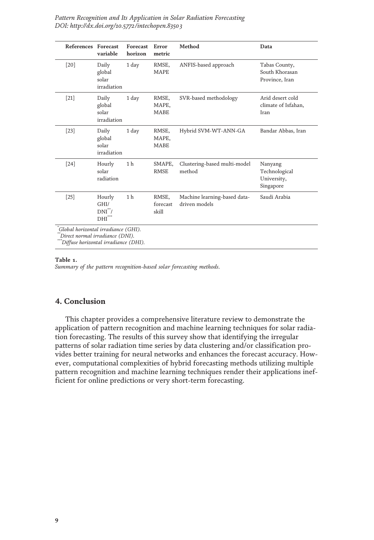| <b>References</b>                                                      | Forecast<br>variable                    | <b>Forecast</b><br>horizon | Error<br>metric               | Method                                        | Data                                                 |  |  |  |  |
|------------------------------------------------------------------------|-----------------------------------------|----------------------------|-------------------------------|-----------------------------------------------|------------------------------------------------------|--|--|--|--|
| [20]                                                                   | Daily<br>global<br>solar<br>irradiation | 1 day                      | RMSE,<br><b>MAPE</b>          | ANFIS-based approach                          | Tabas County,<br>South Khorasan<br>Province, Iran    |  |  |  |  |
| $[21]$                                                                 | Daily<br>global<br>solar<br>irradiation | 1 day                      | RMSE,<br>MAPE,<br><b>MABE</b> | SVR-based methodology                         | Arid desert cold<br>climate of Isfahan,<br>Iran      |  |  |  |  |
| $[23]$                                                                 | Daily<br>global<br>solar<br>irradiation | 1 day                      | RMSE,<br>MAPE,<br><b>MABE</b> | Hybrid SVM-WT-ANN-GA                          | Bandar Abbas, Iran                                   |  |  |  |  |
| $\lceil 24 \rceil$                                                     | Hourly<br>solar<br>radiation            | 1 <sub>h</sub>             | SMAPE,<br><b>RMSE</b>         | Clustering-based multi-model<br>method        | Nanyang<br>Technological<br>University,<br>Singapore |  |  |  |  |
| $[25]$                                                                 | Hourly<br>GHI/<br>$DNI^*/$<br>DHI       | 1 <sub>h</sub>             | RMSE,<br>forecast<br>skill    | Machine learning-based data-<br>driven models | Saudi Arabia                                         |  |  |  |  |
| Global horizontal irradiance (GHI).<br>Direct normal irradiance (DNI). |                                         |                            |                               |                                               |                                                      |  |  |  |  |

\*Diffuse horizontal irradiance (DHI).

#### Table 1.

Summary of the pattern recognition-based solar forecasting methods.

## 4. Conclusion

This chapter provides a comprehensive literature review to demonstrate the application of pattern recognition and machine learning techniques for solar radiation forecasting. The results of this survey show that identifying the irregular patterns of solar radiation time series by data clustering and/or classification provides better training for neural networks and enhances the forecast accuracy. However, computational complexities of hybrid forecasting methods utilizing multiple pattern recognition and machine learning techniques render their applications inefficient for online predictions or very short-term forecasting.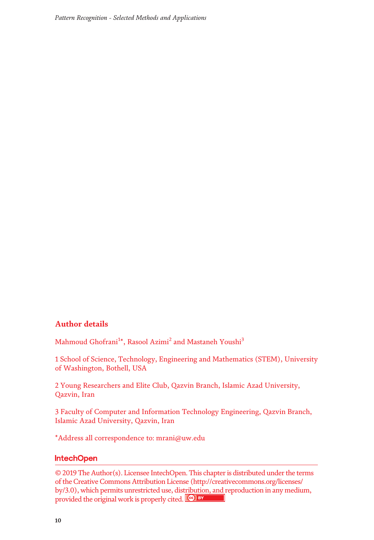## Author details

Mahmoud Ghofrani<sup>1</sup>\*, Rasool Azimi<sup>2</sup> and Mastaneh Youshi<sup>3</sup>

1 School of Science, Technology, Engineering and Mathematics (STEM), University of Washington, Bothell, USA

2 Young Researchers and Elite Club, Qazvin Branch, Islamic Azad University, Qazvin, Iran

3 Faculty of Computer and Information Technology Engineering, Qazvin Branch, Islamic Azad University, Qazvin, Iran

\*Address all correspondence to: mrani@uw.edu

## **IntechOpen**

© 2019 The Author(s). Licensee IntechOpen. This chapter is distributed under the terms of the Creative Commons Attribution License (http://creativecommons.org/licenses/ by/3.0), which permits unrestricted use, distribution, and reproduction in any medium, provided the original work is properly cited.  $\left[\frac{c}{c}\right]$  BY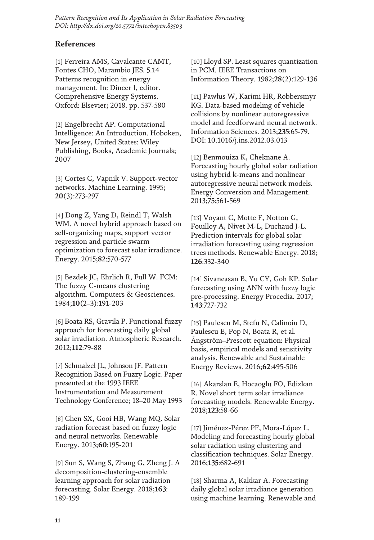## References

[1] Ferreira AMS, Cavalcante CAMT, Fontes CHO, Marambio JES. 5.14 Patterns recognition in energy management. In: Dincer I, editor. Comprehensive Energy Systems. Oxford: Elsevier; 2018. pp. 537-580

[2] Engelbrecht AP. Computational Intelligence: An Introduction. Hoboken, New Jersey, United States: Wiley Publishing, Books, Academic Journals; 2007

[3] Cortes C, Vapnik V. Support-vector networks. Machine Learning. 1995; 20(3):273-297

[4] Dong Z, Yang D, Reindl T, Walsh WM. A novel hybrid approach based on self-organizing maps, support vector regression and particle swarm optimization to forecast solar irradiance. Energy. 2015;82:570-577

[5] Bezdek JC, Ehrlich R, Full W. FCM: The fuzzy C-means clustering algorithm. Computers & Geosciences. 1984;10(2–3):191-203

[6] Boata RS, Gravila P. Functional fuzzy approach for forecasting daily global solar irradiation. Atmospheric Research. 2012;112:79-88

[7] Schmalzel JL, Johnson JF. Pattern Recognition Based on Fuzzy Logic. Paper presented at the 1993 IEEE Instrumentation and Measurement Technology Conference; 18–20 May 1993

[8] Chen SX, Gooi HB, Wang MQ. Solar radiation forecast based on fuzzy logic and neural networks. Renewable Energy. 2013;60:195-201

[9] Sun S, Wang S, Zhang G, Zheng J. A decomposition-clustering-ensemble learning approach for solar radiation forecasting. Solar Energy. 2018;163: 189-199

[10] Lloyd SP. Least squares quantization in PCM. IEEE Transactions on Information Theory. 1982;28(2):129-136

[11] Pawlus W, Karimi HR, Robbersmyr KG. Data-based modeling of vehicle collisions by nonlinear autoregressive model and feedforward neural network. Information Sciences. 2013;235:65-79. DOI: 10.1016/j.ins.2012.03.013

[12] Benmouiza K, Cheknane A. Forecasting hourly global solar radiation using hybrid k-means and nonlinear autoregressive neural network models. Energy Conversion and Management. 2013;75:561-569

[13] Voyant C, Motte F, Notton G, Fouilloy A, Nivet M-L, Duchaud J-L. Prediction intervals for global solar irradiation forecasting using regression trees methods. Renewable Energy. 2018; 126:332-340

[14] Sivaneasan B, Yu CY, Goh KP. Solar forecasting using ANN with fuzzy logic pre-processing. Energy Procedia. 2017; 143:727-732

[15] Paulescu M, Stefu N, Calinoiu D, Paulescu E, Pop N, Boata R, et al. Ångström–Prescott equation: Physical basis, empirical models and sensitivity analysis. Renewable and Sustainable Energy Reviews. 2016;62:495-506

[16] Akarslan E, Hocaoglu FO, Edizkan R. Novel short term solar irradiance forecasting models. Renewable Energy. 2018;123:58-66

[17] Jiménez-Pérez PF, Mora-López L. Modeling and forecasting hourly global solar radiation using clustering and classification techniques. Solar Energy. 2016;135:682-691

[18] Sharma A, Kakkar A. Forecasting daily global solar irradiance generation using machine learning. Renewable and